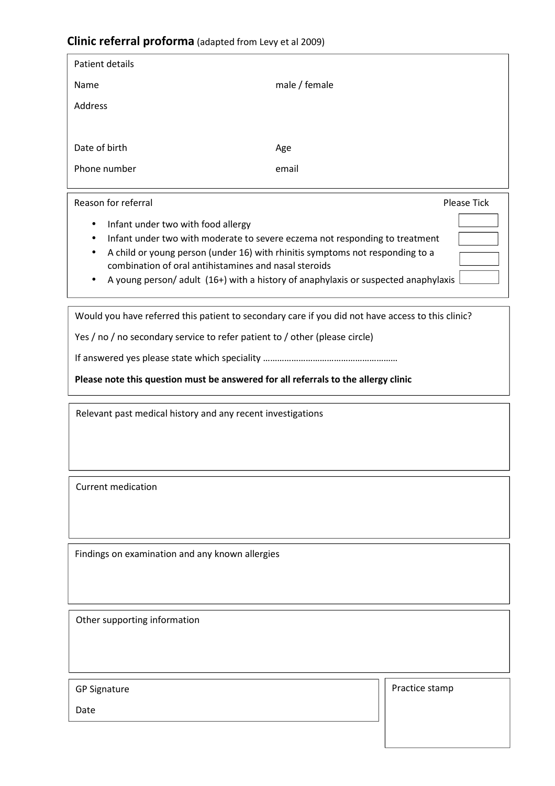## **Clinic referral proforma** (adapted from Levy et al 2009)

| Patient details |               |
|-----------------|---------------|
| Name            | male / female |
| Address         |               |
|                 |               |
| Date of birth   | Age           |
| Phone number    | email         |
|                 |               |

## Reason for referral **Please Tick Reason for referral**

- Infant under two with food allergy
- Infant under two with moderate to severe eczema not responding to treatment
- A child or young person (under 16) with rhinitis symptoms not responding to a combination of oral antihistamines and nasal steroids
- A young person/ adult (16+) with a history of anaphylaxis or suspected anaphylaxis

Would you have referred this patient to secondary care if you did not have access to this clinic?

Yes / no / no secondary service to refer patient to / other (please circle)

If answered yes please state which speciality …………………………………………………

**Please note this question must be answered for all referrals to the allergy clinic** 

Relevant past medical history and any recent investigations

Current medication

Findings on examination and any known allergies

Other supporting information

GP Signature

Practice stamp

Date